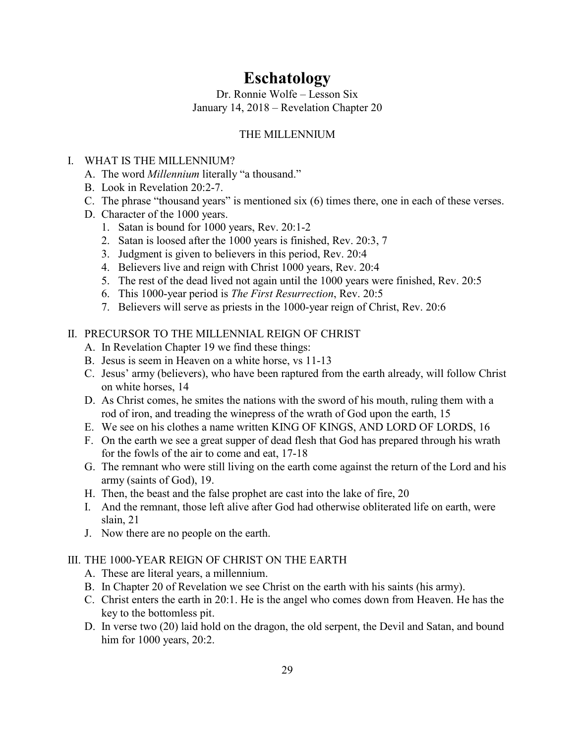# Eschatology

Dr. Ronnie Wolfe – Lesson Six January 14, 2018 – Revelation Chapter 20

# THE MILLENNIUM

# I. WHAT IS THE MILLENNIUM?

- A. The word *Millennium* literally "a thousand."
- B. Look in Revelation 20:2-7.
- C. The phrase "thousand years" is mentioned six (6) times there, one in each of these verses.
- D. Character of the 1000 years.
	- 1. Satan is bound for 1000 years, Rev. 20:1-2
	- 2. Satan is loosed after the 1000 years is finished, Rev. 20:3, 7
	- 3. Judgment is given to believers in this period, Rev. 20:4
	- 4. Believers live and reign with Christ 1000 years, Rev. 20:4
	- 5. The rest of the dead lived not again until the 1000 years were finished, Rev. 20:5
	- 6. This 1000-year period is *The First Resurrection*, Rev. 20:5
	- 7. Believers will serve as priests in the 1000-year reign of Christ, Rev. 20:6

# II. PRECURSOR TO THE MILLENNIAL REIGN OF CHRIST

- A. In Revelation Chapter 19 we find these things:
- B. Jesus is seem in Heaven on a white horse, vs 11-13
- C. Jesus' army (believers), who have been raptured from the earth already, will follow Christ on white horses, 14
- D. As Christ comes, he smites the nations with the sword of his mouth, ruling them with a rod of iron, and treading the winepress of the wrath of God upon the earth, 15
- E. We see on his clothes a name written KING OF KINGS, AND LORD OF LORDS, 16
- F. On the earth we see a great supper of dead flesh that God has prepared through his wrath for the fowls of the air to come and eat, 17-18
- G. The remnant who were still living on the earth come against the return of the Lord and his army (saints of God), 19.
- H. Then, the beast and the false prophet are cast into the lake of fire, 20
- I. And the remnant, those left alive after God had otherwise obliterated life on earth, were slain, 21
- J. Now there are no people on the earth.

# III. THE 1000-YEAR REIGN OF CHRIST ON THE EARTH

- A. These are literal years, a millennium.
- B. In Chapter 20 of Revelation we see Christ on the earth with his saints (his army).
- C. Christ enters the earth in 20:1. He is the angel who comes down from Heaven. He has the key to the bottomless pit.
- D. In verse two (20) laid hold on the dragon, the old serpent, the Devil and Satan, and bound him for 1000 years, 20:2.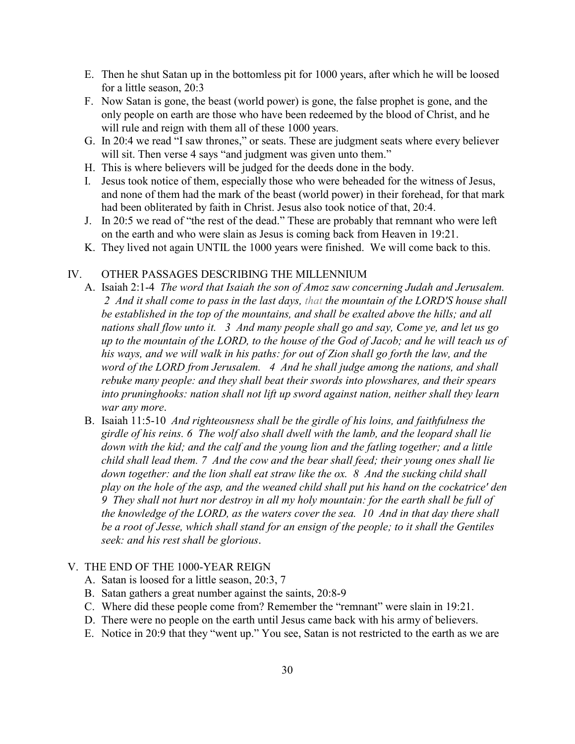- E. Then he shut Satan up in the bottomless pit for 1000 years, after which he will be loosed for a little season, 20:3
- F. Now Satan is gone, the beast (world power) is gone, the false prophet is gone, and the only people on earth are those who have been redeemed by the blood of Christ, and he will rule and reign with them all of these 1000 years.
- G. In 20:4 we read "I saw thrones," or seats. These are judgment seats where every believer will sit. Then verse 4 says "and judgment was given unto them."
- H. This is where believers will be judged for the deeds done in the body.
- I. Jesus took notice of them, especially those who were beheaded for the witness of Jesus, and none of them had the mark of the beast (world power) in their forehead, for that mark had been obliterated by faith in Christ. Jesus also took notice of that, 20:4.
- J. In 20:5 we read of "the rest of the dead." These are probably that remnant who were left on the earth and who were slain as Jesus is coming back from Heaven in 19:21.
- K. They lived not again UNTIL the 1000 years were finished. We will come back to this.

#### IV. OTHER PASSAGES DESCRIBING THE MILLENNIUM

- A. Isaiah 2:1-4 *The word that Isaiah the son of Amoz saw concerning Judah and Jerusalem. 2 And it shall come to pass in the last days, that the mountain of the LORD'S house shall be established in the top of the mountains, and shall be exalted above the hills; and all nations shall flow unto it. 3 And many people shall go and say, Come ye, and let us go up to the mountain of the LORD, to the house of the God of Jacob; and he will teach us of his ways, and we will walk in his paths: for out of Zion shall go forth the law, and the word of the LORD from Jerusalem. 4 And he shall judge among the nations, and shall rebuke many people: and they shall beat their swords into plowshares, and their spears into pruninghooks: nation shall not lift up sword against nation, neither shall they learn war any more*.
- B. Isaiah 11:5-10 *And righteousness shall be the girdle of his loins, and faithfulness the girdle of his reins. 6 The wolf also shall dwell with the lamb, and the leopard shall lie down with the kid; and the calf and the young lion and the fatling together; and a little child shall lead them. 7 And the cow and the bear shall feed; their young ones shall lie down together: and the lion shall eat straw like the ox. 8 And the sucking child shall play on the hole of the asp, and the weaned child shall put his hand on the cockatrice' den 9 They shall not hurt nor destroy in all my holy mountain: for the earth shall be full of the knowledge of the LORD, as the waters cover the sea. 10 And in that day there shall be a root of Jesse, which shall stand for an ensign of the people; to it shall the Gentiles seek: and his rest shall be glorious*.

### V. THE END OF THE 1000-YEAR REIGN

- A. Satan is loosed for a little season, 20:3, 7
- B. Satan gathers a great number against the saints, 20:8-9
- C. Where did these people come from? Remember the "remnant" were slain in 19:21.
- D. There were no people on the earth until Jesus came back with his army of believers.
- E. Notice in 20:9 that they "went up." You see, Satan is not restricted to the earth as we are